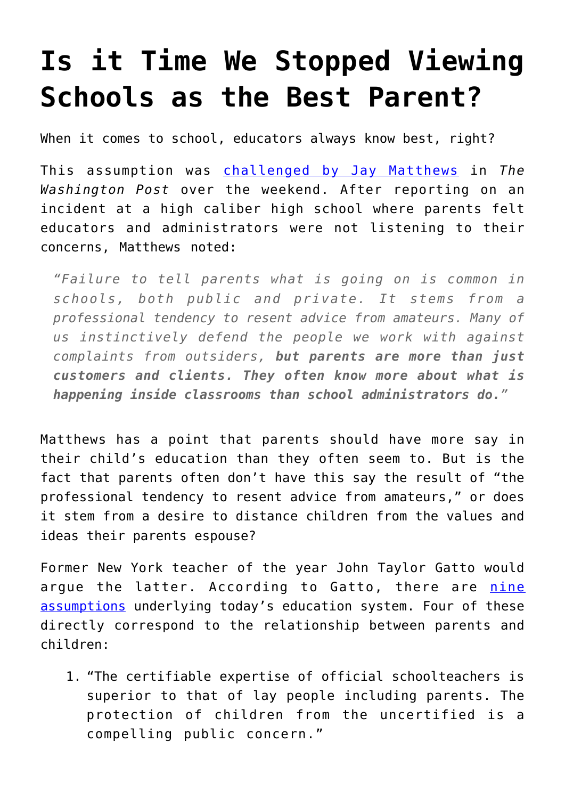## **[Is it Time We Stopped Viewing](https://intellectualtakeout.org/2017/01/is-it-time-we-stopped-viewing-schools-as-the-best-parent/) [Schools as the Best Parent?](https://intellectualtakeout.org/2017/01/is-it-time-we-stopped-viewing-schools-as-the-best-parent/)**

When it comes to school, educators always know best, right?

This assumption was [challenged by Jay Matthews](https://www.washingtonpost.com/local/education/when-faced-with-difficult-decisions-school-administrators-sometimes-run-and-hide/2017/01/15/d3f56b5c-d83f-11e6-9a36-1d296534b31e_story.html?utm_term=.539853b33b19) in *The Washington Post* over the weekend. After reporting on an incident at a high caliber high school where parents felt educators and administrators were not listening to their concerns, Matthews noted:

*"Failure to tell parents what is going on is common in schools, both public and private. It stems from a professional tendency to resent advice from amateurs. Many of us instinctively defend the people we work with against complaints from outsiders, but parents are more than just customers and clients. They often know more about what is happening inside classrooms than school administrators do."*

Matthews has a point that parents should have more say in their child's education than they often seem to. But is the fact that parents often don't have this say the result of "the professional tendency to resent advice from amateurs," or does it stem from a desire to distance children from the values and ideas their parents espouse?

Former New York teacher of the year John Taylor Gatto would argue the latter. According to Gatto, there are [nine](http://www.schoolandstate.org/EdLib/Vol1/Gatto-NineAssumptions.htm) [assumptions](http://www.schoolandstate.org/EdLib/Vol1/Gatto-NineAssumptions.htm) underlying today's education system. Four of these directly correspond to the relationship between parents and children:

1. "The certifiable expertise of official schoolteachers is superior to that of lay people including parents. The protection of children from the uncertified is a compelling public concern."